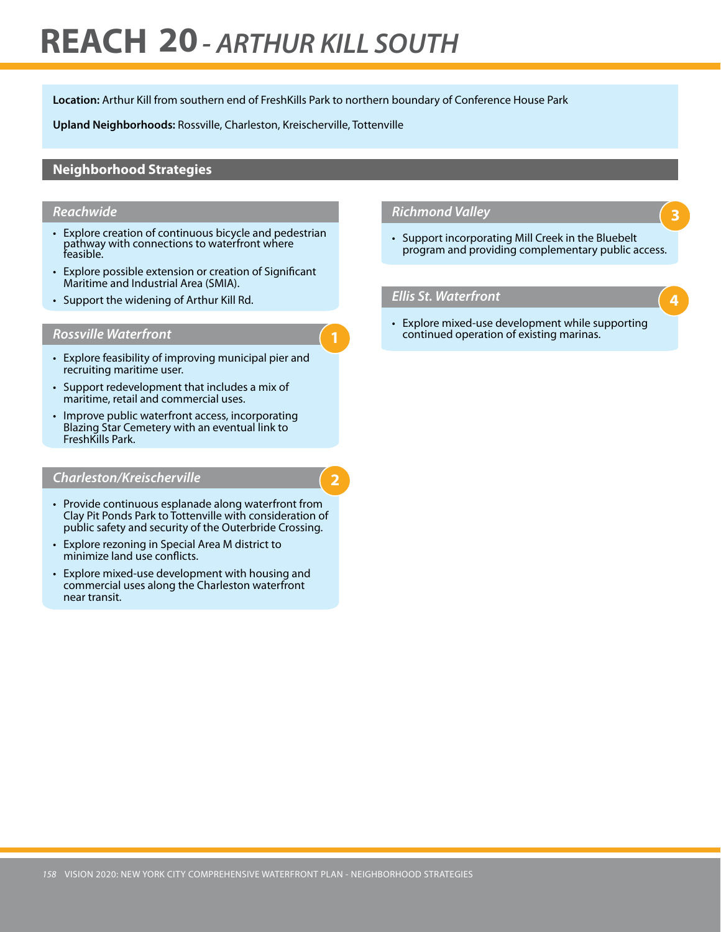# **REACH 20***- ARTHUR KILL SOUTH*

**Location:** Arthur Kill from southern end of FreshKills Park to northern boundary of Conference House Park

**1**

**2**

**Upland Neighborhoods:** Rossville, Charleston, Kreischerville, Tottenville

### **Neighborhood Strategies**

#### *Reachwide*

- Explore creation of continuous bicycle and pedestrian pathway with connections to waterfront where feasible.
- • Explore possible extension or creation of Significant Maritime and Industrial Area (SMIA).
- Support the widening of Arthur Kill Rd.

#### *Rossville Waterfront*

- Explore feasibility of improving municipal pier and recruiting maritime user.
- • Support redevelopment that includes a mix of maritime, retail and commercial uses.
- Improve public waterfront access, incorporating Blazing Star Cemetery with an eventual link to FreshKills Park.

#### *Charleston/Kreischerville*

- Provide continuous esplanade along waterfront from Clay Pit Ponds Park to Tottenville with consideration of public safety and security of the Outerbride Crossing.
- Explore rezoning in Special Area M district to minimize land use conflicts.
- Explore mixed-use development with housing and commercial uses along the Charleston waterfront near transit.

#### *Richmond Valley*

• Support incorporating Mill Creek in the Bluebelt program and providing complementary public access.

**3**

**4**

#### *Ellis St. Waterfront*

• Explore mixed-use development while supporting continued operation of existing marinas.